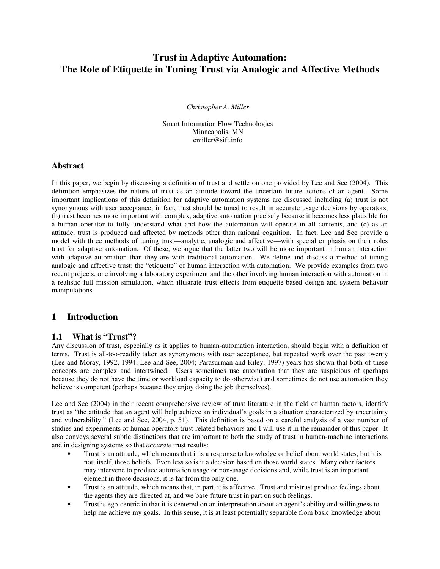# **Trust in Adaptive Automation: The Role of Etiquette in Tuning Trust via Analogic and Affective Methods**

*Christopher A. Miller* 

Smart Information Flow Technologies Minneapolis, MN cmiller@sift.info

#### **Abstract**

In this paper, we begin by discussing a definition of trust and settle on one provided by Lee and See (2004). This definition emphasizes the nature of trust as an attitude toward the uncertain future actions of an agent. Some important implications of this definition for adaptive automation systems are discussed including (a) trust is not synonymous with user acceptance; in fact, trust should be tuned to result in accurate usage decisions by operators, (b) trust becomes more important with complex, adaptive automation precisely because it becomes less plausible for a human operator to fully understand what and how the automation will operate in all contents, and (c) as an attitude, trust is produced and affected by methods other than rational cognition. In fact, Lee and See provide a model with three methods of tuning trust—analytic, analogic and affective—with special emphasis on their roles trust for adaptive automation. Of these, we argue that the latter two will be more important in human interaction with adaptive automation than they are with traditional automation. We define and discuss a method of tuning analogic and affective trust: the "etiquette" of human interaction with automation. We provide examples from two recent projects, one involving a laboratory experiment and the other involving human interaction with automation in a realistic full mission simulation, which illustrate trust effects from etiquette-based design and system behavior manipulations.

## **1 Introduction**

#### **1.1 What is "Trust"?**

Any discussion of trust, especially as it applies to human-automation interaction, should begin with a definition of terms. Trust is all-too-readily taken as synonymous with user acceptance, but repeated work over the past twenty (Lee and Moray, 1992, 1994; Lee and See, 2004; Parasurman and Riley, 1997) years has shown that both of these concepts are complex and intertwined. Users sometimes use automation that they are suspicious of (perhaps because they do not have the time or workload capacity to do otherwise) and sometimes do not use automation they believe is competent (perhaps because they enjoy doing the job themselves).

Lee and See (2004) in their recent comprehensive review of trust literature in the field of human factors, identify trust as "the attitude that an agent will help achieve an individual's goals in a situation characterized by uncertainty and vulnerability." (Lee and See, 2004, p. 51). This definition is based on a careful analysis of a vast number of studies and experiments of human operators trust-related behaviors and I will use it in the remainder of this paper. It also conveys several subtle distinctions that are important to both the study of trust in human-machine interactions and in designing systems so that *accurate* trust results:

- Trust is an attitude, which means that it is a response to knowledge or belief about world states, but it is not, itself, those beliefs. Even less so is it a decision based on those world states. Many other factors may intervene to produce automation usage or non-usage decisions and, while trust is an important element in those decisions, it is far from the only one.
- Trust is an attitude, which means that, in part, it is affective. Trust and mistrust produce feelings about the agents they are directed at, and we base future trust in part on such feelings.
- Trust is ego-centric in that it is centered on an interpretation about an agent's ability and willingness to help me achieve my goals. In this sense, it is at least potentially separable from basic knowledge about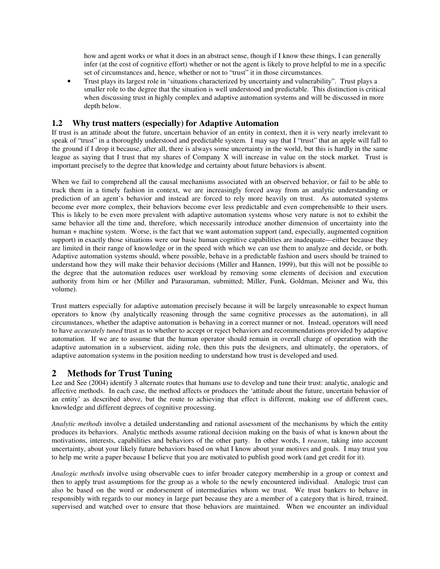how and agent works or what it does in an abstract sense, though if I know these things, I can generally infer (at the cost of cognitive effort) whether or not the agent is likely to prove helpful to me in a specific set of circumstances and, hence, whether or not to "trust" it in those circumstances.

• Trust plays its largest role in 'situations characterized by uncertainty and vulnerability". Trust plays a smaller role to the degree that the situation is well understood and predictable. This distinction is critical when discussing trust in highly complex and adaptive automation systems and will be discussed in more depth below.

### **1.2 Why trust matters (especially) for Adaptive Automation**

If trust is an attitude about the future, uncertain behavior of an entity in context, then it is very nearly irrelevant to speak of "trust" in a thoroughly understood and predictable system. I may say that I "trust" that an apple will fall to the ground if I drop it because, after all, there is always some uncertainty in the world, but this is hardly in the same league as saying that I trust that my shares of Company X will increase in value on the stock market. Trust is important precisely to the degree that knowledge and certainty about future behaviors is absent.

When we fail to comprehend all the causal mechanisms associated with an observed behavior, or fail to be able to track them in a timely fashion in context, we are increasingly forced away from an analytic understanding or prediction of an agent's behavior and instead are forced to rely more heavily on trust. As automated systems become ever more complex, their behaviors become ever less predictable and even comprehensible to their users. This is likely to be even more prevalent with adaptive automation systems whose very nature is not to exhibit the same behavior all the time and, therefore, which necessarily introduce another dimension of uncertainty into the human + machine system. Worse, is the fact that we want automation support (and, especially, augmented cognition support) in exactly those situations were our basic human cognitive capabilities are inadequate—either because they are limited in their range of knowledge or in the speed with which we can use them to analyze and decide, or both. Adaptive automation systems should, where possible, behave in a predictable fashion and users should be trained to understand how they will make their behavior decisions (Miller and Hannen, 1999), but this will not be possible to the degree that the automation reduces user workload by removing some elements of decision and execution authority from him or her (Miller and Parasuraman, submitted; Miller, Funk, Goldman, Meisner and Wu, this volume).

Trust matters especially for adaptive automation precisely because it will be largely unreasonable to expect human operators to know (by analytically reasoning through the same cognitive processes as the automation), in all circumstances, whether the adaptive automation is behaving in a correct manner or not. Instead, operators will need to have *accurately tuned* trust as to whether to accept or reject behaviors and recommendations provided by adaptive automation. If we are to assume that the human operator should remain in overall charge of operation with the adaptive automation in a subservient, aiding role, then this puts the designers, and ultimately, the operators, of adaptive automation systems in the position needing to understand how trust is developed and used.

## **2 Methods for Trust Tuning**

Lee and See (2004) identify 3 alternate routes that humans use to develop and tune their trust: analytic, analogic and affective methods. In each case, the method affects or produces the 'attitude about the future, uncertain behavior of an entity' as described above, but the route to achieving that effect is different, making use of different cues, knowledge and different degrees of cognitive processing.

*Analytic methods* involve a detailed understanding and rational assessment of the mechanisms by which the entity produces its behaviors. Analytic methods assume rational decision making on the basis of what is known about the motivations, interests, capabilities and behaviors of the other party. In other words, I *reason*, taking into account uncertainty, about your likely future behaviors based on what I know about your motives and goals. I may trust you to help me write a paper because I believe that you are motivated to publish good work (and get credit for it).

*Analogic methods* involve using observable cues to infer broader category membership in a group or context and then to apply trust assumptions for the group as a whole to the newly encountered individual. Analogic trust can also be based on the word or endorsement of intermediaries whom we trust. We trust bankers to behave in responsibly with regards to our money in large part because they are a member of a category that is hired, trained, supervised and watched over to ensure that those behaviors are maintained. When we encounter an individual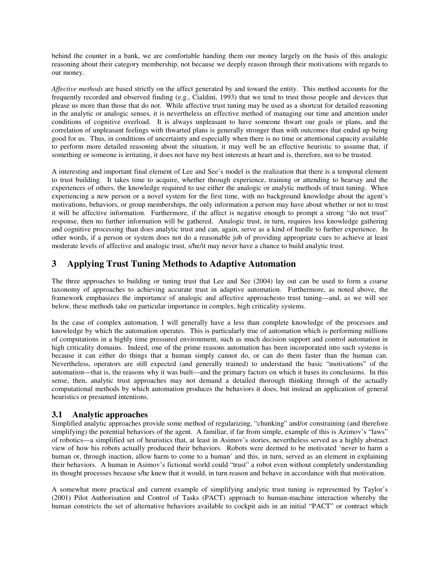behind the counter in a bank, we are comfortable handing them our money largely on the basis of this analogic reasoning about their category membership, not because we deeply reason through their motivations with regards to our money.

*Affective methods* are based strictly on the affect generated by and toward the entity. This method accounts for the frequently recorded and observed finding (e.g., Cialdini, 1993) that we tend to trust those people and devices that please us more than those that do not. While affective trust tuning may be used as a shortcut for detailed reasoning in the analytic or analogic senses, it is nevertheless an effective method of managing our time and attention under conditions of cognitive overload. It is always unpleasant to have someone thwart our goals or plans, and the correlation of unpleasant feelings with thwarted plans is generally stronger than with outcomes that ended up being good for us. Thus, in conditions of uncertainty and especially when there is no time or attentional capacity available to perform more detailed reasoning about the situation, it may well be an effective heuristic to assume that, if something or someone is irritating, it does not have my best interests at heart and is, therefore, not to be trusted.

A interesting and important final element of Lee and See's model is the realization that there is a temporal element to trust building. It takes time to acquire, whether through experience, training or attending to hearsay and the experiences of others, the knowledge required to use either the analogic or analytic methods of trust tuning. When experiencing a new person or a novel system for the first time, with no background knowledge about the agent's motivations, behaviors, or group memberships, the only information a person may have about whether or not to trust it will be affective information. Furthermore, if the affect is negative enough to prompt a strong "do not trust" response, then no further information will be gathered. Analogic trust, in turn, requires less knowledge gathering and cognitive processing than does analytic trust and can, again, serve as a kind of hurdle to further experience. In other words, if a person or system does not do a reasonable job of providing appropriate cues to achieve at least moderate levels of affective and analogic trust, s/he/it may never have a chance to build analytic trust.

## **3 Applying Trust Tuning Methods to Adaptive Automation**

The three approaches to building or tuning trust that Lee and See (2004) lay out can be used to form a coarse taxonomy of approaches to achieving accurate trust in adaptive automation. Furthermore, as noted above, the framework emphasizes the importance of analogic and affective approachesto trust tuning—and, as we will see below, these methods take on particular importance in complex, high criticality systems.

In the case of complex automation, I will generally have a less than complete knowledge of the processes and knowledge by which the automation operates. This is particularly true of automation which is performing millions of computations in a highly time pressured environment, such as much decision support and control automation in high criticality domains. Indeed, one of the prime reasons automation has been incorporated into such systems is because it can either do things that a human simply cannot do, or can do them faster than the human can. Nevertheless, operators are still expected (and generally trained) to understand the basic "motivations" of the automation—that is, the reasons why it was built—and the primary factors on which it bases its conclusions. In this sense, then, analytic trust approaches may not demand a detailed thorough thinking through of the actually computational methods by which automation produces the behaviors it does, but instead an application of general heuristics or presumed intentions.

## **3.1 Analytic approaches**

Simplified analytic approaches provide some method of regularizing, "chunking" and/or constraining (and therefore simplifying) the potential behaviors of the agent. A familiar, if far from simple, example of this is Azimov's "laws" of robotics—a simplified set of heuristics that, at least in Asimov's stories, nevertheless served as a highly abstract view of how his robots actually produced their behaviors. Robots were deemed to be motivated 'never to harm a human or, through inaction, allow harm to come to a human' and this, in turn, served as an element in explaining their behaviors. A human in Asimov's fictional world could "trust" a robot even without completely understanding its thought processes because s/he knew that it would, in turn reason and behave in accordance with that motivation.

A somewhat more practical and current example of simplifying analytic trust tuning is represented by Taylor's (2001) Pilot Authorisation and Control of Tasks (PACT) approach to human-machine interaction whereby the human constricts the set of alternative behaviors available to cockpit aids in an initial "PACT" or contract which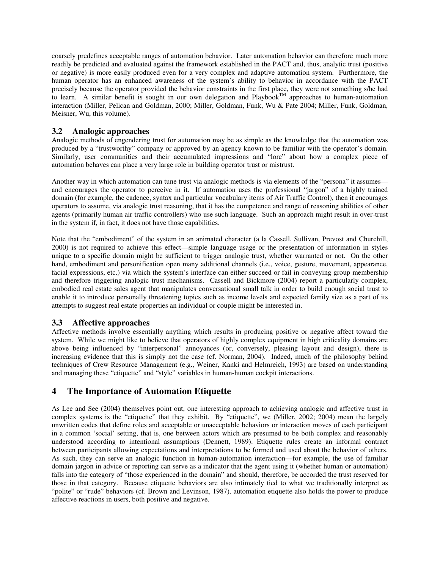coarsely predefines acceptable ranges of automation behavior. Later automation behavior can therefore much more readily be predicted and evaluated against the framework established in the PACT and, thus, analytic trust (positive or negative) is more easily produced even for a very complex and adaptive automation system. Furthermore, the human operator has an enhanced awareness of the system's ability to behavior in accordance with the PACT precisely because the operator provided the behavior constraints in the first place, they were not something s/he had to learn. A similar benefit is sought in our own delegation and Playbook<sup>TM</sup> approaches to human-automation to learn. interaction (Miller, Pelican and Goldman, 2000; Miller, Goldman, Funk, Wu & Pate 2004; Miller, Funk, Goldman, Meisner, Wu, this volume).

#### **3.2 Analogic approaches**

Analogic methods of engendering trust for automation may be as simple as the knowledge that the automation was produced by a "trustworthy" company or approved by an agency known to be familiar with the operator's domain. Similarly, user communities and their accumulated impressions and "lore" about how a complex piece of automation behaves can place a very large role in building operator trust or mistrust.

Another way in which automation can tune trust via analogic methods is via elements of the "persona" it assumes and encourages the operator to perceive in it. If automation uses the professional "jargon" of a highly trained domain (for example, the cadence, syntax and particular vocabulary items of Air Traffic Control), then it encourages operators to assume, via analogic trust reasoning, that it has the competence and range of reasoning abilities of other agents (primarily human air traffic controllers) who use such language. Such an approach might result in over-trust in the system if, in fact, it does not have those capabilities.

Note that the "embodiment" of the system in an animated character (a la Cassell, Sullivan, Prevost and Churchill, 2000) is not required to achieve this effect—simple language usage or the presentation of information in styles unique to a specific domain might be sufficient to trigger analogic trust, whether warranted or not. On the other hand, embodiment and personification open many additional channels (i.e., voice, gesture, movement, appearance, facial expressions, etc.) via which the system's interface can either succeed or fail in conveying group membership and therefore triggering analogic trust mechanisms. Cassell and Bickmore (2004) report a particularly complex, embodied real estate sales agent that manipulates conversational small talk in order to build enough social trust to enable it to introduce personally threatening topics such as income levels and expected family size as a part of its attempts to suggest real estate properties an individual or couple might be interested in.

#### **3.3 Affective approaches**

Affective methods involve essentially anything which results in producing positive or negative affect toward the system. While we might like to believe that operators of highly complex equipment in high criticality domains are above being influenced by "interpersonal" annoyances (or, conversely, pleasing layout and design), there is increasing evidence that this is simply not the case (cf. Norman, 2004). Indeed, much of the philosophy behind techniques of Crew Resource Management (e.g., Weiner, Kanki and Helmreich, 1993) are based on understanding and managing these "etiquette" and "style" variables in human-human cockpit interactions.

## **4 The Importance of Automation Etiquette**

As Lee and See (2004) themselves point out, one interesting approach to achieving analogic and affective trust in complex systems is the "etiquette" that they exhibit. By "etiquette", we (Miller, 2002; 2004) mean the largely unwritten codes that define roles and acceptable or unacceptable behaviors or interaction moves of each participant in a common 'social' setting, that is, one between actors which are presumed to be both complex and reasonably understood according to intentional assumptions (Dennett, 1989). Etiquette rules create an informal contract between participants allowing expectations and interpretations to be formed and used about the behavior of others. As such, they can serve an analogic function in human-automation interaction—for example, the use of familiar domain jargon in advice or reporting can serve as a indicator that the agent using it (whether human or automation) falls into the category of "those experienced in the domain" and should, therefore, be accorded the trust reserved for those in that category. Because etiquette behaviors are also intimately tied to what we traditionally interpret as "polite" or "rude" behaviors (cf. Brown and Levinson, 1987), automation etiquette also holds the power to produce affective reactions in users, both positive and negative.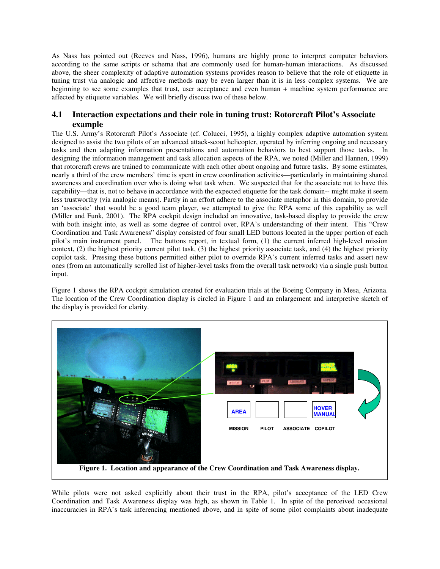As Nass has pointed out (Reeves and Nass, 1996), humans are highly prone to interpret computer behaviors according to the same scripts or schema that are commonly used for human-human interactions. As discussed above, the sheer complexity of adaptive automation systems provides reason to believe that the role of etiquette in tuning trust via analogic and affective methods may be even larger than it is in less complex systems. We are beginning to see some examples that trust, user acceptance and even human + machine system performance are affected by etiquette variables. We will briefly discuss two of these below.

### **4.1 Interaction expectations and their role in tuning trust: Rotorcraft Pilot's Associate example**

The U.S. Army's Rotorcraft Pilot's Associate (cf. Colucci, 1995), a highly complex adaptive automation system designed to assist the two pilots of an advanced attack-scout helicopter, operated by inferring ongoing and necessary tasks and then adapting information presentations and automation behaviors to best support those tasks. In designing the information management and task allocation aspects of the RPA, we noted (Miller and Hannen, 1999) that rotorcraft crews are trained to communicate with each other about ongoing and future tasks. By some estimates, nearly a third of the crew members' time is spent in crew coordination activities—particularly in maintaining shared awareness and coordination over who is doing what task when. We suspected that for the associate not to have this capability—that is, not to behave in accordance with the expected etiquette for the task domain-- might make it seem less trustworthy (via analogic means). Partly in an effort adhere to the associate metaphor in this domain, to provide an 'associate' that would be a good team player, we attempted to give the RPA some of this capability as well (Miller and Funk, 2001). The RPA cockpit design included an innovative, task-based display to provide the crew with both insight into, as well as some degree of control over, RPA's understanding of their intent. This "Crew Coordination and Task Awareness" display consisted of four small LED buttons located in the upper portion of each pilot's main instrument panel. The buttons report, in textual form, (1) the current inferred high-level mission context, (2) the highest priority current pilot task, (3) the highest priority associate task, and (4) the highest priority copilot task. Pressing these buttons permitted either pilot to override RPA's current inferred tasks and assert new ones (from an automatically scrolled list of higher-level tasks from the overall task network) via a single push button input.

Figure 1 shows the RPA cockpit simulation created for evaluation trials at the Boeing Company in Mesa, Arizona. The location of the Crew Coordination display is circled in Figure 1 and an enlargement and interpretive sketch of the display is provided for clarity.



While pilots were not asked explicitly about their trust in the RPA, pilot's acceptance of the LED Crew Coordination and Task Awareness display was high, as shown in Table 1. In spite of the perceived occasional inaccuracies in RPA's task inferencing mentioned above, and in spite of some pilot complaints about inadequate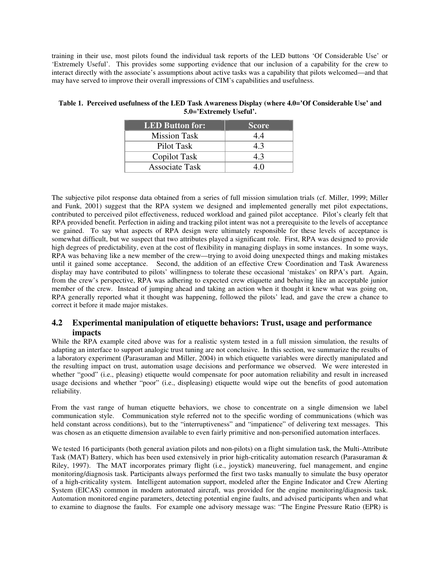training in their use, most pilots found the individual task reports of the LED buttons 'Of Considerable Use' or 'Extremely Useful'. This provides some supporting evidence that our inclusion of a capability for the crew to interact directly with the associate's assumptions about active tasks was a capability that pilots welcomed—and that may have served to improve their overall impressions of CIM's capabilities and usefulness.

| LED Button for:       | <b>Score</b> |
|-----------------------|--------------|
| <b>Mission Task</b>   | 44           |
| Pilot Task            | 4.3          |
| Copilot Task          | 4.3          |
| <b>Associate Task</b> |              |

**Table 1. Perceived usefulness of the LED Task Awareness Display (where 4.0='Of Considerable Use' and 5.0='Extremely Useful'.** 

The subjective pilot response data obtained from a series of full mission simulation trials (cf. Miller, 1999; Miller and Funk, 2001) suggest that the RPA system we designed and implemented generally met pilot expectations, contributed to perceived pilot effectiveness, reduced workload and gained pilot acceptance. Pilot's clearly felt that RPA provided benefit. Perfection in aiding and tracking pilot intent was not a prerequisite to the levels of acceptance we gained. To say what aspects of RPA design were ultimately responsible for these levels of acceptance is somewhat difficult, but we suspect that two attributes played a significant role. First, RPA was designed to provide high degrees of predictability, even at the cost of flexibility in managing displays in some instances. In some ways, RPA was behaving like a new member of the crew—trying to avoid doing unexpected things and making mistakes until it gained some acceptance. Second, the addition of an effective Crew Coordination and Task Awareness display may have contributed to pilots' willingness to tolerate these occasional 'mistakes' on RPA's part. Again, from the crew's perspective, RPA was adhering to expected crew etiquette and behaving like an acceptable junior member of the crew. Instead of jumping ahead and taking an action when it thought it knew what was going on, RPA generally reported what it thought was happening, followed the pilots' lead, and gave the crew a chance to correct it before it made major mistakes.

## **4.2 Experimental manipulation of etiquette behaviors: Trust, usage and performance impacts**

While the RPA example cited above was for a realistic system tested in a full mission simulation, the results of adapting an interface to support analogic trust tuning are not conclusive. In this section, we summarize the results of a laboratory experiment (Parasuraman and Miller, 2004) in which etiquette variables were directly manipulated and the resulting impact on trust, automation usage decisions and performance we observed. We were interested in whether "good" (i.e., pleasing) etiquette would compensate for poor automation reliability and result in increased usage decisions and whether "poor" (i.e., displeasing) etiquette would wipe out the benefits of good automation reliability.

From the vast range of human etiquette behaviors, we chose to concentrate on a single dimension we label communication style. Communication style referred not to the specific wording of communications (which was held constant across conditions), but to the "interruptiveness" and "impatience" of delivering text messages. This was chosen as an etiquette dimension available to even fairly primitive and non-personified automation interfaces.

We tested 16 participants (both general aviation pilots and non-pilots) on a flight simulation task, the Multi-Attribute Task (MAT) Battery, which has been used extensively in prior high-criticality automation research (Parasuraman & Riley, 1997). The MAT incorporates primary flight (i.e., joystick) maneuvering, fuel management, and engine monitoring/diagnosis task. Participants always performed the first two tasks manually to simulate the busy operator of a high-criticality system. Intelligent automation support, modeled after the Engine Indicator and Crew Alerting System (EICAS) common in modern automated aircraft, was provided for the engine monitoring/diagnosis task. Automation monitored engine parameters, detecting potential engine faults, and advised participants when and what to examine to diagnose the faults. For example one advisory message was: "The Engine Pressure Ratio (EPR) is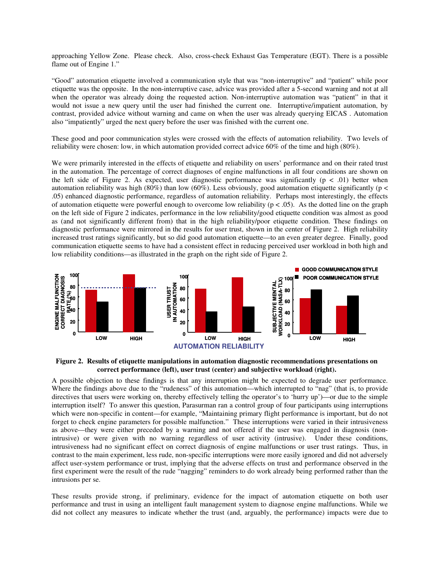approaching Yellow Zone. Please check. Also, cross-check Exhaust Gas Temperature (EGT). There is a possible flame out of Engine 1."

"Good" automation etiquette involved a communication style that was "non-interruptive" and "patient" while poor etiquette was the opposite. In the non-interruptive case, advice was provided after a 5-second warning and not at all when the operator was already doing the requested action. Non-interruptive automation was "patient" in that it would not issue a new query until the user had finished the current one. Interruptive/impatient automation, by contrast, provided advice without warning and came on when the user was already querying EICAS . Automation also "impatiently" urged the next query before the user was finished with the current one.

These good and poor communication styles were crossed with the effects of automation reliability. Two levels of reliability were chosen: low, in which automation provided correct advice 60% of the time and high (80%).

We were primarily interested in the effects of etiquette and reliability on users' performance and on their rated trust in the automation. The percentage of correct diagnoses of engine malfunctions in all four conditions are shown on the left side of Figure 2. As expected, user diagnostic performance was significantly ( $p < .01$ ) better when automation reliability was high (80%) than low (60%). Less obviously, good automation etiquette significantly ( $p <$ .05) enhanced diagnostic performance, regardless of automation reliability. Perhaps most interestingly, the effects of automation etiquette were powerful enough to overcome low reliability ( $p < .05$ ). As the dotted line on the graph on the left side of Figure 2 indicates, performance in the low reliability/good etiquette condition was almost as good as (and not significantly different from) that in the high reliability/poor etiquette condition. These findings on diagnostic performance were mirrored in the results for user trust, shown in the center of Figure 2. High reliability increased trust ratings significantly, but so did good automation etiquette—to an even greater degree. Finally, good communication etiquette seems to have had a consistent effect in reducing perceived user workload in both high and low reliability conditions—as illustrated in the graph on the right side of Figure 2.



**Figure 2. Results of etiquette manipulations in automation diagnostic recommendations presentations on correct performance (left), user trust (center) and subjective workload (right).** 

A possible objection to these findings is that any interruption might be expected to degrade user performance. Where the findings above due to the "rudeness" of this automation—which interrupted to "nag" (that is, to provide directives that users were working on, thereby effectively telling the operator's to 'hurry up')—or due to the simple interruption itself? To answer this question, Parasurman ran a control group of four participants using interruptions which were non-specific in content—for example, "Maintaining primary flight performance is important, but do not forget to check engine parameters for possible malfunction." These interruptions were varied in their intrusiveness as above—they were either preceded by a warning and not offered if the user was engaged in diagnosis (nonintrusive) or were given with no warning regardless of user activity (intrusive). Under these conditions, intrusiveness had no significant effect on correct diagnosis of engine malfunctions or user trust ratings. Thus, in contrast to the main experiment, less rude, non-specific interruptions were more easily ignored and did not adversely affect user-system performance or trust, implying that the adverse effects on trust and performance observed in the first experiment were the result of the rude "nagging" reminders to do work already being performed rather than the intrusions per se.

These results provide strong, if preliminary, evidence for the impact of automation etiquette on both user performance and trust in using an intelligent fault management system to diagnose engine malfunctions. While we did not collect any measures to indicate whether the trust (and, arguably, the performance) impacts were due to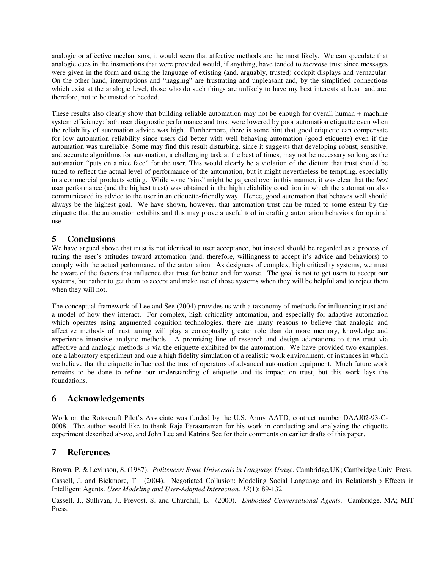analogic or affective mechanisms, it would seem that affective methods are the most likely. We can speculate that analogic cues in the instructions that were provided would, if anything, have tended to *increase* trust since messages were given in the form and using the language of existing (and, arguably, trusted) cockpit displays and vernacular. On the other hand, interruptions and "nagging" are frustrating and unpleasant and, by the simplified connections which exist at the analogic level, those who do such things are unlikely to have my best interests at heart and are, therefore, not to be trusted or heeded.

These results also clearly show that building reliable automation may not be enough for overall human + machine system efficiency: both user diagnostic performance and trust were lowered by poor automation etiquette even when the reliability of automation advice was high. Furthermore, there is some hint that good etiquette can compensate for low automation reliability since users did better with well behaving automation (good etiquette) even if the automation was unreliable. Some may find this result disturbing, since it suggests that developing robust, sensitive, and accurate algorithms for automation, a challenging task at the best of times, may not be necessary so long as the automation "puts on a nice face" for the user. This would clearly be a violation of the dictum that trust should be tuned to reflect the actual level of performance of the automation, but it might nevertheless be tempting, especially in a commercial products setting. While some "sins" might be papered over in this manner, it was clear that the *best* user performance (and the highest trust) was obtained in the high reliability condition in which the automation also communicated its advice to the user in an etiquette-friendly way. Hence, good automation that behaves well should always be the highest goal. We have shown, however, that automation trust can be tuned to some extent by the etiquette that the automation exhibits and this may prove a useful tool in crafting automation behaviors for optimal use.

## **5 Conclusions**

We have argued above that trust is not identical to user acceptance, but instead should be regarded as a process of tuning the user's attitudes toward automation (and, therefore, willingness to accept it's advice and behaviors) to comply with the actual performance of the automation. As designers of complex, high criticality systems, we must be aware of the factors that influence that trust for better and for worse. The goal is not to get users to accept our systems, but rather to get them to accept and make use of those systems when they will be helpful and to reject them when they will not.

The conceptual framework of Lee and See (2004) provides us with a taxonomy of methods for influencing trust and a model of how they interact. For complex, high criticality automation, and especially for adaptive automation which operates using augmented cognition technologies, there are many reasons to believe that analogic and affective methods of trust tuning will play a conceptually greater role than do more memory, knowledge and experience intensive analytic methods. A promising line of research and design adaptations to tune trust via affective and analogic methods is via the etiquette exhibited by the automation. We have provided two examples, one a laboratory experiment and one a high fidelity simulation of a realistic work environment, of instances in which we believe that the etiquette influenced the trust of operators of advanced automation equipment. Much future work remains to be done to refine our understanding of etiquette and its impact on trust, but this work lays the foundations.

## **6 Acknowledgements**

Work on the Rotorcraft Pilot's Associate was funded by the U.S. Army AATD, contract number DAAJ02-93-C-0008. The author would like to thank Raja Parasuraman for his work in conducting and analyzing the etiquette experiment described above, and John Lee and Katrina See for their comments on earlier drafts of this paper.

## **7 References**

Brown, P. & Levinson, S. (1987). *Politeness: Some Universals in Language Usage.* Cambridge,UK; Cambridge Univ. Press.

Cassell, J. and Bickmore, T. (2004). Negotiated Collusion: Modeling Social Language and its Relationship Effects in Intelligent Agents. *User Modeling and User-Adapted Interaction. 13*(1): 89-132

Cassell, J., Sullivan, J., Prevost, S. and Churchill, E. (2000). *Embodied Conversational Agents*. Cambridge, MA; MIT Press.